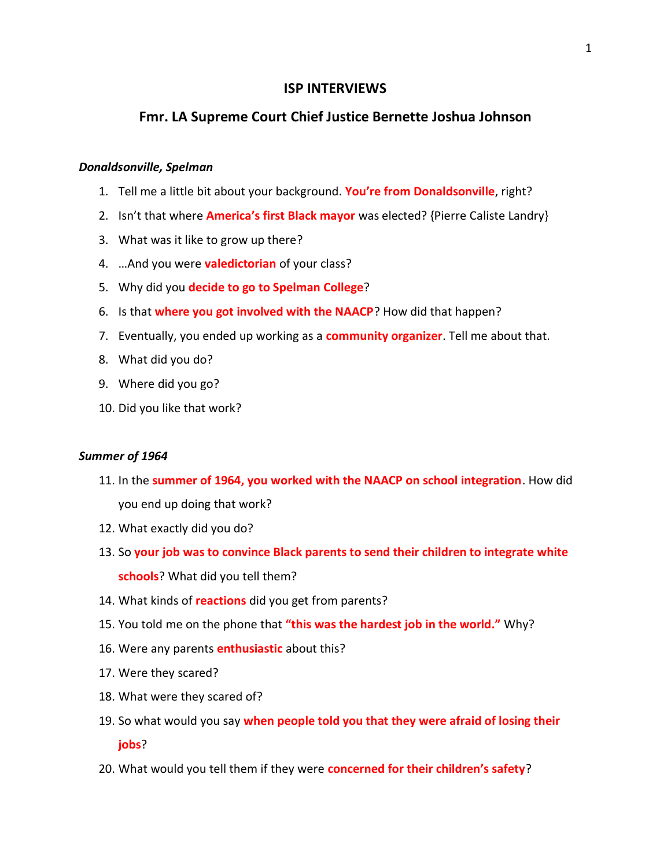# **ISP INTERVIEWS**

# **Fmr. LA Supreme Court Chief Justice Bernette Joshua Johnson**

#### *Donaldsonville, Spelman*

- 1. Tell me a little bit about your background. **You're from Donaldsonville**, right?
- 2. Isn't that where **America's first Black mayor** was elected? {Pierre Caliste Landry}
- 3. What was it like to grow up there?
- 4. …And you were **valedictorian** of your class?
- 5. Why did you **decide to go to Spelman College**?
- 6. Is that **where you got involved with the NAACP**? How did that happen?
- 7. Eventually, you ended up working as a **community organizer**. Tell me about that.
- 8. What did you do?
- 9. Where did you go?
- 10. Did you like that work?

## *Summer of 1964*

- 11. In the **summer of 1964, you worked with the NAACP on school integration**. How did you end up doing that work?
- 12. What exactly did you do?
- 13. So **your job was to convince Black parents to send their children to integrate white schools**? What did you tell them?
- 14. What kinds of **reactions** did you get from parents?
- 15. You told me on the phone that **"this was the hardest job in the world."** Why?
- 16. Were any parents **enthusiastic** about this?
- 17. Were they scared?
- 18. What were they scared of?
- 19. So what would you say **when people told you that they were afraid of losing their jobs**?
- 20. What would you tell them if they were **concerned for their children's safety**?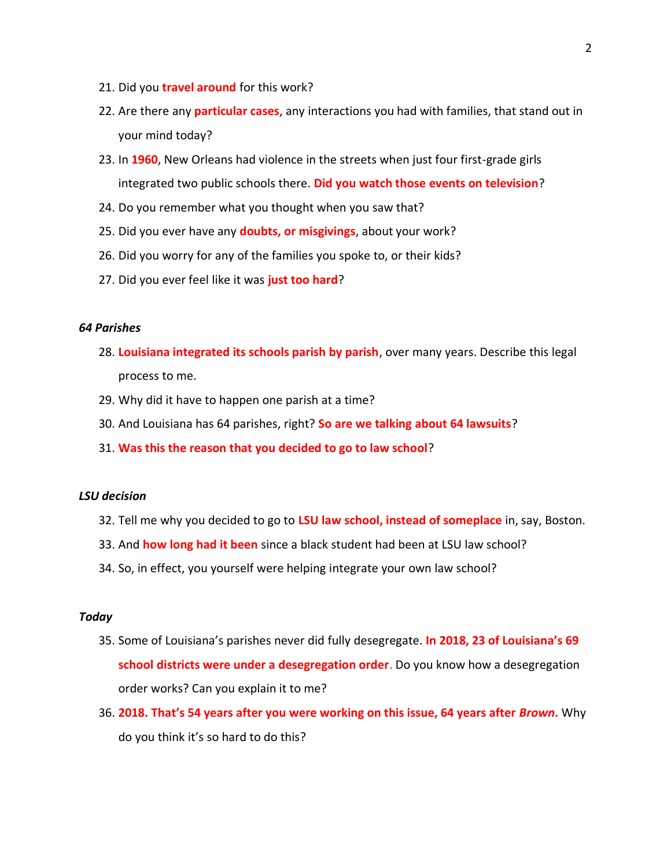- 21. Did you **travel around** for this work?
- 22. Are there any **particular cases**, any interactions you had with families, that stand out in your mind today?
- 23. In **1960**, New Orleans had violence in the streets when just four first-grade girls integrated two public schools there. **Did you watch those events on television**?
- 24. Do you remember what you thought when you saw that?
- 25. Did you ever have any **doubts, or misgivings**, about your work?
- 26. Did you worry for any of the families you spoke to, or their kids?
- 27. Did you ever feel like it was **just too hard**?

## *64 Parishes*

- 28. **Louisiana integrated its schools parish by parish**, over many years. Describe this legal process to me.
- 29. Why did it have to happen one parish at a time?
- 30. And Louisiana has 64 parishes, right? **So are we talking about 64 lawsuits**?
- 31. **Was this the reason that you decided to go to law school**?

## *LSU decision*

- 32. Tell me why you decided to go to **LSU law school, instead of someplace** in, say, Boston.
- 33. And **how long had it been** since a black student had been at LSU law school?
- 34. So, in effect, you yourself were helping integrate your own law school?

#### *Today*

- 35. Some of Louisiana's parishes never did fully desegregate. **In 2018, 23 of Louisiana's 69 school districts were under a desegregation order**. Do you know how a desegregation order works? Can you explain it to me?
- 36. **2018. That's 54 years after you were working on this issue, 64 years after** *Brown***.** Why do you think it's so hard to do this?